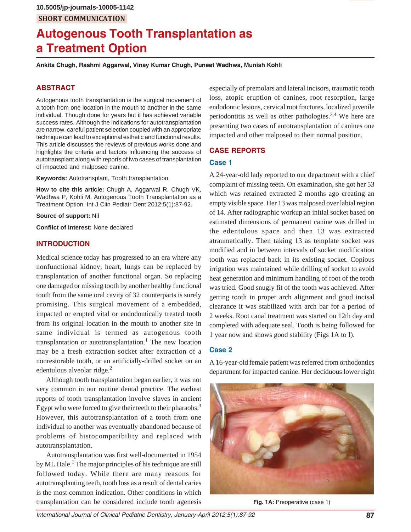# **Autogenous Tooth Transplantation as a Treatment Option**

**Ankita Chugh, Rashmi Aggarwal, Vinay Kumar Chugh, Puneet Wadhwa, Munish Kohli**

## **ABSTRACT**

Autogenous tooth transplantation is the surgical movement of a tooth from one location in the mouth to another in the same individual. Though done for years but it has achieved variable success rates. Although the indications for autotransplantation are narrow, careful patient selection coupled with an appropriate technique can lead to exceptional esthetic and functional results. This article discusses the reviews of previous works done and highlights the criteria and factors influencing the success of autotransplant along with reports of two cases of transplantation of impacted and malposed canine.

**Keywords:** Autotransplant, Tooth transplantation.

**How to cite this article:** Chugh A, Aggarwal R, Chugh VK, Wadhwa P, Kohli M. Autogenous Tooth Transplantation as a Treatment Option. Int J Clin Pediatr Dent 2012;5(1):87-92.

**Source of support:** Nil

**Conflict of interest:** None declared

## **INTRODUCTION**

Medical science today has progressed to an era where any nonfunctional kidney, heart, lungs can be replaced by transplantation of another functional organ. So replacing one damaged or missing tooth by another healthy functional tooth from the same oral cavity of 32 counterparts is surely promising. This surgical movement of a embedded, impacted or erupted vital or endodontically treated tooth from its original location in the mouth to another site in same individual is termed as autogenous tooth transplantation or autotransplantation.<sup>1</sup> The new location may be a fresh extraction socket after extraction of a nonrestorable tooth, or an artificially-drilled socket on an edentulous alveolar ridge.<sup>2</sup>

Although tooth transplantation began earlier, it was not very common in our routine dental practice. The earliest reports of tooth transplantation involve slaves in ancient Egypt who were forced to give their teeth to their pharaohs. $3$ However, this autotransplantation of a tooth from one individual to another was eventually abandoned because of problems of histocompatibility and replaced with autotransplantation.

Autotransplantation was first well-documented in 1954 by ML Hale.<sup>1</sup> The major principles of his technique are still followed today. While there are many reasons for autotransplanting teeth, tooth loss as a result of dental caries is the most common indication. Other conditions in which transplantation can be considered include tooth agenesis

especially of premolars and lateral incisors, traumatic tooth loss, atopic eruption of canines, root resorption, large endodontic lesions, cervical root fractures, localized juvenile periodontitis as well as other pathologies.<sup>3,4</sup> We here are presenting two cases of autotransplantation of canines one impacted and other malposed to their normal position.

#### **CASE REPORTS**

#### **Case 1**

A 24-year-old lady reported to our department with a chief complaint of missing teeth. On examination, she got her 53 which was retained extracted 2 months ago creating an empty visible space. Her 13 was malposed over labial region of 14. After radiographic workup an initial socket based on estimated dimensions of permanent canine was drilled in the edentulous space and then 13 was extracted atraumatically. Then taking 13 as template socket was modified and in between intervals of socket modification tooth was replaced back in its existing socket. Copious irrigation was maintained while drilling of socket to avoid heat generation and minimum handling of root of the tooth was tried. Good snugly fit of the tooth was achieved. After getting tooth in proper arch alignment and good incisal clearance it was stabilized with arch bar for a period of 2 weeks. Root canal treatment was started on 12th day and completed with adequate seal. Tooth is being followed for 1 year now and shows good stability (Figs 1A to I).

#### **Case 2**

A 16-year-old female patient was referred from orthodontics department for impacted canine. Her deciduous lower right



**Fig. 1A:** Preoperative (case 1)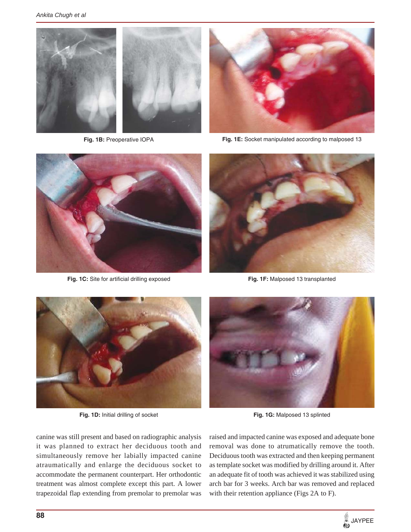

**Fig. 1B:** Preoperative IOPA



**Fig. 1E:** Socket manipulated according to malposed 13



**Fig. 1C:** Site for artificial drilling exposed



**Fig. 1F:** Malposed 13 transplanted



**Fig. 1D:** Initial drilling of socket

**Fig. 1G:** Malposed 13 splinted

canine was still present and based on radiographic analysis it was planned to extract her deciduous tooth and simultaneously remove her labially impacted canine atraumatically and enlarge the deciduous socket to accommodate the permanent counterpart. Her orthodontic treatment was almost complete except this part. A lower trapezoidal flap extending from premolar to premolar was

raised and impacted canine was exposed and adequate bone removal was done to atrumatically remove the tooth. Deciduous tooth was extracted and then keeping permanent as template socket was modified by drilling around it. After an adequate fit of tooth was achieved it was stabilized using arch bar for 3 weeks. Arch bar was removed and replaced with their retention appliance (Figs 2A to F).

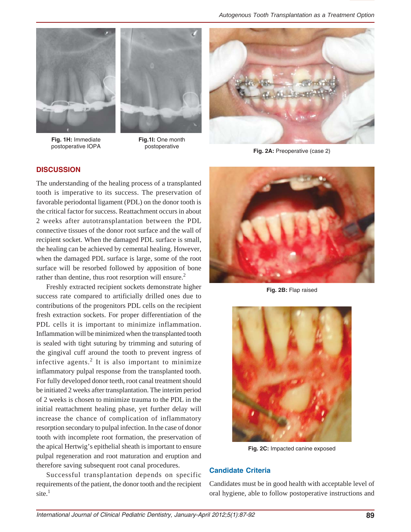



**Fig. 1H:** Immediate postoperative IOPA

**Fig.1I:** One month



## **DISCUSSION**

The understanding of the healing process of a transplanted tooth is imperative to its success. The preservation of favorable periodontal ligament (PDL) on the donor tooth is the critical factor for success. Reattachment occurs in about 2 weeks after autotransplantation between the PDL connective tissues of the donor root surface and the wall of recipient socket. When the damaged PDL surface is small, the healing can be achieved by cemental healing. However, when the damaged PDL surface is large, some of the root surface will be resorbed followed by apposition of bone rather than dentine, thus root resorption will ensure.<sup>2</sup>

Freshly extracted recipient sockets demonstrate higher success rate compared to artificially drilled ones due to contributions of the progenitors PDL cells on the recipient fresh extraction sockets. For proper differentiation of the PDL cells it is important to minimize inflammation. Inflammation will be minimized when the transplanted tooth is sealed with tight suturing by trimming and suturing of the gingival cuff around the tooth to prevent ingress of infective agents.<sup>2</sup> It is also important to minimize inflammatory pulpal response from the transplanted tooth. For fully developed donor teeth, root canal treatment should be initiated 2 weeks after transplantation. The interim period of 2 weeks is chosen to minimize trauma to the PDL in the initial reattachment healing phase, yet further delay will increase the chance of complication of inflammatory resorption secondary to pulpal infection. In the case of donor tooth with incomplete root formation, the preservation of the apical Hertwig's epithelial sheath is important to ensure pulpal regeneration and root maturation and eruption and therefore saving subsequent root canal procedures.

Successful transplantation depends on specific requirements of the patient, the donor tooth and the recipient site $1$ 



**Fig. 2B:** Flap raised



**Fig. 2C:** Impacted canine exposed

# **Candidate Criteria**

Candidates must be in good health with acceptable level of oral hygiene, able to follow postoperative instructions and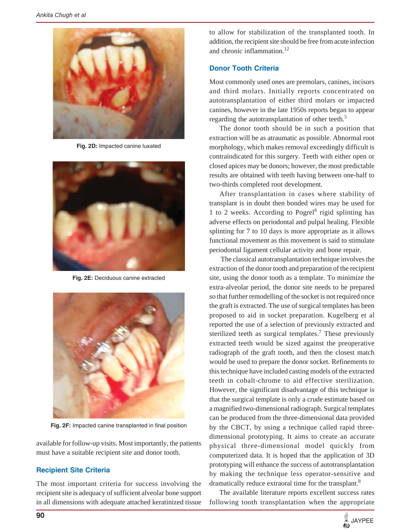

**Fig. 2D:** Impacted canine luxated



**Fig. 2E:** Deciduous canine extracted



**Fig. 2F:** Impacted canine transplanted in final position

available for follow-up visits. Most importantly, the patients must have a suitable recipient site and donor tooth.

#### **Recipient Site Criteria**

The most important criteria for success involving the recipient site is adequacy of sufficient alveolar bone support in all dimensions with adequate attached keratinized tissue to allow for stabilization of the transplanted tooth. In addition, the recipient site should be free from acute infection and chronic inflammation.<sup>12</sup>

## **Donor Tooth Criteria**

Most commonly used ones are premolars, canines, incisors and third molars. Initially reports concentrated on autotransplantation of either third molars or impacted canines, however in the late 1950s reports began to appear regarding the autotransplantation of other teeth.<sup>5</sup>

The donor tooth should be in such a position that extraction will be as atraumatic as possible. Abnormal root morphology, which makes removal exceedingly difficult is contraindicated for this surgery. Teeth with either open or closed apices may be donors; however, the most predictable results are obtained with teeth having between one-half to two-thirds completed root development.

After transplantation in cases where stability of transplant is in doubt then bonded wires may be used for 1 to 2 weeks. According to Pogrel<sup>6</sup> rigid splinting has adverse effects on periodontal and pulpal healing. Flexible splinting for 7 to 10 days is more appropriate as it allows functional movement as this movement is said to stimulate periodontal ligament cellular activity and bone repair.

 The classical autotransplantation technique involves the extraction of the donor tooth and preparation of the recipient site, using the donor tooth as a template. To minimize the extra-alveolar period, the donor site needs to be prepared so that further remodelling of the socket is not required once the graft is extracted. The use of surgical templates has been proposed to aid in socket preparation. Kugelberg et al reported the use of a selection of previously extracted and sterilized teeth as surgical templates.<sup>7</sup> These previously extracted teeth would be sized against the preoperative radiograph of the graft tooth, and then the closest match would be used to prepare the donor socket. Refinements to this technique have included casting models of the extracted teeth in cobalt-chrome to aid effective sterilization. However, the significant disadvantage of this technique is that the surgical template is only a crude estimate based on a magnified two-dimensional radiograph. Surgical templates can be produced from the three-dimensional data provided by the CBCT, by using a technique called rapid threedimensional prototyping. It aims to create an accurate physical three-dimensional model quickly from computerized data. It is hoped that the application of 3D prototyping will enhance the success of autotransplantation by making the technique less operator-sensitive and dramatically reduce extraoral time for the transplant.<sup>8</sup>

The available literature reports excellent success rates following tooth transplantation when the appropriate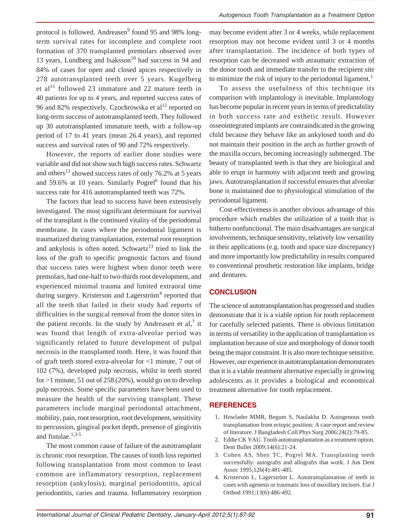protocol is followed. Andreasen<sup>9</sup> found 95 and 98% longterm survival rates for incomplete and complete root formation of 370 transplanted premolars observed over 13 years. Lundberg and Isaksson<sup>10</sup> had success in 94 and 84% of cases for open and closed apices respectively in 278 autotransplanted teeth over 5 years. Kugelberg et al<sup>11</sup> followed 23 immature and 22 mature teeth in 40 patients for up to 4 years, and reported success rates of 96 and 82% respectively. Czochrowska et al<sup>12</sup> reported on long-term success of autotransplanted teeth. They followed up 30 autotransplanted immature teeth, with a follow-up period of 17 to 41 years (mean 26.4 years), and reported success and survival rates of 90 and 72% respectively.

However, the reports of earlier done studies were variable and did not show such high success rates. Schwartz and others<sup>13</sup> showed success rates of only 76.2% at 5 years and 59.6% at 10 years. Similarly Pogrel<sup>6</sup> found that his success rate for 416 autotransplanted teeth was 72%.

The factors that lead to success have been extensively investigated. The most significant determinant for survival of the transplant is the continued vitality of the periodontal membrane. In cases where the periodontal ligament is traumatized during transplantation, external root resorption and ankylosis is often noted. Schwartz<sup>13</sup> tried to link the loss of the graft to specific prognostic factors and found that success rates were highest when donor teeth were premolars, had one-half to two-thirds root development, and experienced minimal trauma and limited extraoral time during surgery. Kristerson and Lagerström<sup>4</sup> reported that all the teeth that failed in their study had reports of difficulties in the surgical removal from the donor sites in the patient records. In the study by Andreasen et al,<sup>7</sup> it was found that length of extra-alveolar period was significantly related to future development of pulpal necrosis in the transplanted tooth. Here, it was found that of graft teeth stored extra-alveolar for <1 minute, 7 out of 102 (7%), developed pulp necrosis, whilst in teeth stored for >1 minute, 51 out of 258 (20%), would go on to develop pulp necrosis. Some specific parameters have been used to measure the health of the surviving transplant. These parameters include marginal periodontal attachment, mobility, pain, root resorption, root development, sensitivity to percussion, gingival pocket depth, presence of gingivitis and fistulae.<sup>1,3-5</sup>

The most common cause of failure of the autotransplant is chronic root resorption. The causes of tooth loss reported following transplantation from most common to least common are inflammatory resorption, replacement resorption (ankylosis), marginal periodontitis, apical periodontitis, caries and trauma. Inflammatory resorption

may become evident after 3 or 4 weeks, while replacement resorption may not become evident until 3 or 4 months after transplantation. The incidence of both types of resorption can be decreased with atraumatic extraction of the donor tooth and immediate transfer to the recipient site to minimize the risk of injury to the periodontal ligament.<sup>1</sup>

To assess the usefulness of this technique its comparison with implantology is inevitable. Implantology has become popular in recent years in terms of predictability in both success rate and esthetic result. However osseointegrated implants are contraindicated in the growing child because they behave like an ankylosed tooth and do not maintain their position in the arch as further growth of the maxilla occurs, becoming increasingly submerged. The beauty of transplanted teeth is that they are biological and able to erupt in harmony with adjacent teeth and growing jaws. Autotransplantation if successful ensures that alveolar bone is maintained due to physiological stimulation of the periodontal ligament.

Cost-effectiveness is another obvious advantage of this procedure which enables the utilization of a tooth that is hitherto nonfunctional. The main disadvantages are surgical involvements, technique sensitivity, relatively low versatility in their applications (e.g. tooth and space size discrepancy) and more importantly low predictability in results compared to conventional prosthetic restoration like implants, bridge and dentures.

#### **CONCLUSION**

The science of autotransplantation has progressed and studies demonstrate that it is a viable option for tooth replacement for carefully selected patients. There is obvious limitation in terms of versatility in the application of transplantation *vs* implantation because of size and morphology of donor tooth being the major constraint. It is also more technique sensitive. However, our experience in autotransplantation demonstrates that it is a viable treatment alternative especially in growing adolescents as it provides a biological and economical treatment alternative for tooth replacement.

#### **REFERENCES**

- 1. Howlader MMR, Begum S, Naulakha D. Autogenous tooth transplantation from ectopic position: A case report and review of literature. J Bangladesh Coll Phys Surg 2006;24(2):79-85.
- 2. Eddie CK YAU. Tooth autotransplantation as a treatment option. Dent Bullet 2009;14(6):21-24.
- 3. Cohen AS, Shen TC, Pogrel MA. Transplanting teeth successfully: autografts and allografts that work. J Am Dent Assoc 1995;126(4):481-485.
- 4. Kristerson L, Lagerström L. Autotransplantation of teeth in cases with agenesis or traumatic loss of maxillary incisors. Eur J Orthod 1991;13(6):486-492.